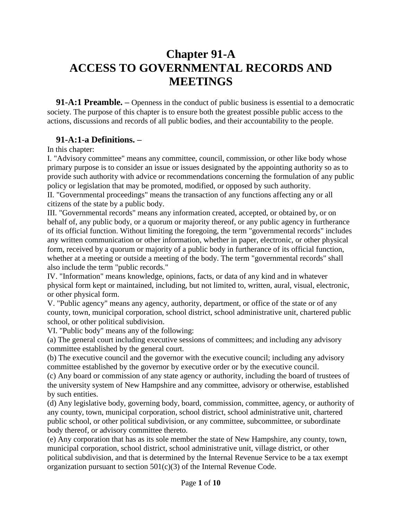# **Chapter 91-A ACCESS TO GOVERNMENTAL RECORDS AND MEETINGS**

 **91-A:1 Preamble. –** Openness in the conduct of public business is essential to a democratic society. The purpose of this chapter is to ensure both the greatest possible public access to the actions, discussions and records of all public bodies, and their accountability to the people.

#### **91-A:1-a Definitions. –**

#### In this chapter:

I. "Advisory committee" means any committee, council, commission, or other like body whose primary purpose is to consider an issue or issues designated by the appointing authority so as to provide such authority with advice or recommendations concerning the formulation of any public policy or legislation that may be promoted, modified, or opposed by such authority.

II. "Governmental proceedings" means the transaction of any functions affecting any or all citizens of the state by a public body.

III. "Governmental records" means any information created, accepted, or obtained by, or on behalf of, any public body, or a quorum or majority thereof, or any public agency in furtherance of its official function. Without limiting the foregoing, the term "governmental records" includes any written communication or other information, whether in paper, electronic, or other physical form, received by a quorum or majority of a public body in furtherance of its official function, whether at a meeting or outside a meeting of the body. The term "governmental records" shall also include the term "public records."

IV. "Information" means knowledge, opinions, facts, or data of any kind and in whatever physical form kept or maintained, including, but not limited to, written, aural, visual, electronic, or other physical form.

V. "Public agency" means any agency, authority, department, or office of the state or of any county, town, municipal corporation, school district, school administrative unit, chartered public school, or other political subdivision.

VI. "Public body" means any of the following:

(a) The general court including executive sessions of committees; and including any advisory committee established by the general court.

(b) The executive council and the governor with the executive council; including any advisory committee established by the governor by executive order or by the executive council.

(c) Any board or commission of any state agency or authority, including the board of trustees of the university system of New Hampshire and any committee, advisory or otherwise, established by such entities.

(d) Any legislative body, governing body, board, commission, committee, agency, or authority of any county, town, municipal corporation, school district, school administrative unit, chartered public school, or other political subdivision, or any committee, subcommittee, or subordinate body thereof, or advisory committee thereto.

(e) Any corporation that has as its sole member the state of New Hampshire, any county, town, municipal corporation, school district, school administrative unit, village district, or other political subdivision, and that is determined by the Internal Revenue Service to be a tax exempt organization pursuant to section  $501(c)(3)$  of the Internal Revenue Code.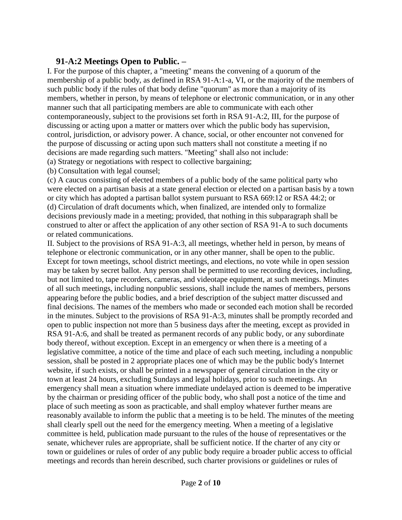#### **91-A:2 Meetings Open to Public. –**

I. For the purpose of this chapter, a "meeting" means the convening of a quorum of the membership of a public body, as defined in RSA 91-A:1-a, VI, or the majority of the members of such public body if the rules of that body define "quorum" as more than a majority of its members, whether in person, by means of telephone or electronic communication, or in any other manner such that all participating members are able to communicate with each other contemporaneously, subject to the provisions set forth in RSA 91-A:2, III, for the purpose of discussing or acting upon a matter or matters over which the public body has supervision, control, jurisdiction, or advisory power. A chance, social, or other encounter not convened for the purpose of discussing or acting upon such matters shall not constitute a meeting if no decisions are made regarding such matters. "Meeting" shall also not include:

(a) Strategy or negotiations with respect to collective bargaining;

(b) Consultation with legal counsel;

(c) A caucus consisting of elected members of a public body of the same political party who were elected on a partisan basis at a state general election or elected on a partisan basis by a town or city which has adopted a partisan ballot system pursuant to RSA 669:12 or RSA 44:2; or (d) Circulation of draft documents which, when finalized, are intended only to formalize decisions previously made in a meeting; provided, that nothing in this subparagraph shall be construed to alter or affect the application of any other section of RSA 91-A to such documents or related communications.

II. Subject to the provisions of RSA 91-A:3, all meetings, whether held in person, by means of telephone or electronic communication, or in any other manner, shall be open to the public. Except for town meetings, school district meetings, and elections, no vote while in open session may be taken by secret ballot. Any person shall be permitted to use recording devices, including, but not limited to, tape recorders, cameras, and videotape equipment, at such meetings. Minutes of all such meetings, including nonpublic sessions, shall include the names of members, persons appearing before the public bodies, and a brief description of the subject matter discussed and final decisions. The names of the members who made or seconded each motion shall be recorded in the minutes. Subject to the provisions of RSA 91-A:3, minutes shall be promptly recorded and open to public inspection not more than 5 business days after the meeting, except as provided in RSA 91-A:6, and shall be treated as permanent records of any public body, or any subordinate body thereof, without exception. Except in an emergency or when there is a meeting of a legislative committee, a notice of the time and place of each such meeting, including a nonpublic session, shall be posted in 2 appropriate places one of which may be the public body's Internet website, if such exists, or shall be printed in a newspaper of general circulation in the city or town at least 24 hours, excluding Sundays and legal holidays, prior to such meetings. An emergency shall mean a situation where immediate undelayed action is deemed to be imperative by the chairman or presiding officer of the public body, who shall post a notice of the time and place of such meeting as soon as practicable, and shall employ whatever further means are reasonably available to inform the public that a meeting is to be held. The minutes of the meeting shall clearly spell out the need for the emergency meeting. When a meeting of a legislative committee is held, publication made pursuant to the rules of the house of representatives or the senate, whichever rules are appropriate, shall be sufficient notice. If the charter of any city or town or guidelines or rules of order of any public body require a broader public access to official meetings and records than herein described, such charter provisions or guidelines or rules of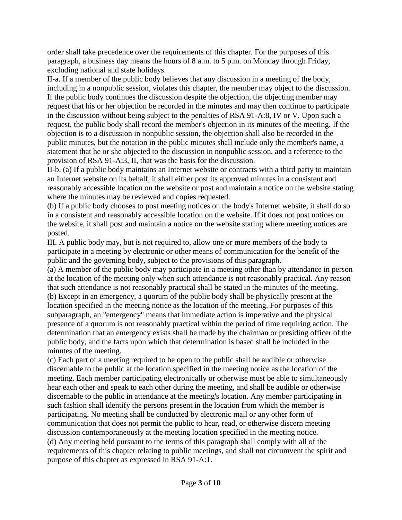order shall take precedence over the requirements of this chapter. For the purposes of this paragraph, a business day means the hours of 8 a.m. to 5 p.m. on Monday through Friday, excluding national and state holidays.

II-a. If a member of the public body believes that any discussion in a meeting of the body, including in a nonpublic session, violates this chapter, the member may object to the discussion. If the public body continues the discussion despite the objection, the objecting member may request that his or her objection be recorded in the minutes and may then continue to participate in the discussion without being subject to the penalties of RSA 91-A:8, IV or V. Upon such a request, the public body shall record the member's objection in its minutes of the meeting. If the objection is to a discussion in nonpublic session, the objection shall also be recorded in the public minutes, but the notation in the public minutes shall include only the member's name, a statement that he or she objected to the discussion in nonpublic session, and a reference to the provision of RSA 91-A:3, II, that was the basis for the discussion.

II-b. (a) If a public body maintains an Internet website or contracts with a third party to maintain an Internet website on its behalf, it shall either post its approved minutes in a consistent and reasonably accessible location on the website or post and maintain a notice on the website stating where the minutes may be reviewed and copies requested.

(b) If a public body chooses to post meeting notices on the body's Internet website, it shall do so in a consistent and reasonably accessible location on the website. If it does not post notices on the website, it shall post and maintain a notice on the website stating where meeting notices are posted.

III. A public body may, but is not required to, allow one or more members of the body to participate in a meeting by electronic or other means of communication for the benefit of the public and the governing body, subject to the provisions of this paragraph.

(a) A member of the public body may participate in a meeting other than by attendance in person at the location of the meeting only when such attendance is not reasonably practical. Any reason that such attendance is not reasonably practical shall be stated in the minutes of the meeting. (b) Except in an emergency, a quorum of the public body shall be physically present at the location specified in the meeting notice as the location of the meeting. For purposes of this subparagraph, an "emergency" means that immediate action is imperative and the physical presence of a quorum is not reasonably practical within the period of time requiring action. The determination that an emergency exists shall be made by the chairman or presiding officer of the public body, and the facts upon which that determination is based shall be included in the minutes of the meeting.

(c) Each part of a meeting required to be open to the public shall be audible or otherwise discernable to the public at the location specified in the meeting notice as the location of the meeting. Each member participating electronically or otherwise must be able to simultaneously hear each other and speak to each other during the meeting, and shall be audible or otherwise discernable to the public in attendance at the meeting's location. Any member participating in such fashion shall identify the persons present in the location from which the member is participating. No meeting shall be conducted by electronic mail or any other form of communication that does not permit the public to hear, read, or otherwise discern meeting discussion contemporaneously at the meeting location specified in the meeting notice. (d) Any meeting held pursuant to the terms of this paragraph shall comply with all of the requirements of this chapter relating to public meetings, and shall not circumvent the spirit and purpose of this chapter as expressed in RSA 91-A:1.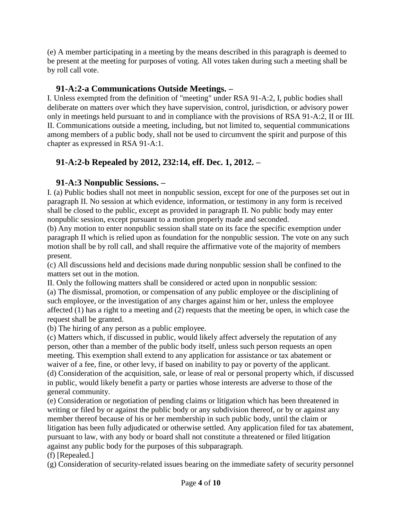(e) A member participating in a meeting by the means described in this paragraph is deemed to be present at the meeting for purposes of voting. All votes taken during such a meeting shall be by roll call vote.

#### **91-A:2-a Communications Outside Meetings. –**

I. Unless exempted from the definition of "meeting" under RSA 91-A:2, I, public bodies shall deliberate on matters over which they have supervision, control, jurisdiction, or advisory power only in meetings held pursuant to and in compliance with the provisions of RSA 91-A:2, II or III. II. Communications outside a meeting, including, but not limited to, sequential communications among members of a public body, shall not be used to circumvent the spirit and purpose of this chapter as expressed in RSA 91-A:1.

## **91-A:2-b Repealed by 2012, 232:14, eff. Dec. 1, 2012. –**

### **91-A:3 Nonpublic Sessions. –**

I. (a) Public bodies shall not meet in nonpublic session, except for one of the purposes set out in paragraph II. No session at which evidence, information, or testimony in any form is received shall be closed to the public, except as provided in paragraph II. No public body may enter nonpublic session, except pursuant to a motion properly made and seconded.

(b) Any motion to enter nonpublic session shall state on its face the specific exemption under paragraph II which is relied upon as foundation for the nonpublic session. The vote on any such motion shall be by roll call, and shall require the affirmative vote of the majority of members present.

(c) All discussions held and decisions made during nonpublic session shall be confined to the matters set out in the motion.

II. Only the following matters shall be considered or acted upon in nonpublic session: (a) The dismissal, promotion, or compensation of any public employee or the disciplining of such employee, or the investigation of any charges against him or her, unless the employee affected (1) has a right to a meeting and (2) requests that the meeting be open, in which case the request shall be granted.

(b) The hiring of any person as a public employee.

(c) Matters which, if discussed in public, would likely affect adversely the reputation of any person, other than a member of the public body itself, unless such person requests an open meeting. This exemption shall extend to any application for assistance or tax abatement or waiver of a fee, fine, or other levy, if based on inability to pay or poverty of the applicant. (d) Consideration of the acquisition, sale, or lease of real or personal property which, if discussed in public, would likely benefit a party or parties whose interests are adverse to those of the general community.

(e) Consideration or negotiation of pending claims or litigation which has been threatened in writing or filed by or against the public body or any subdivision thereof, or by or against any member thereof because of his or her membership in such public body, until the claim or litigation has been fully adjudicated or otherwise settled. Any application filed for tax abatement, pursuant to law, with any body or board shall not constitute a threatened or filed litigation against any public body for the purposes of this subparagraph.

(f) [Repealed.]

(g) Consideration of security-related issues bearing on the immediate safety of security personnel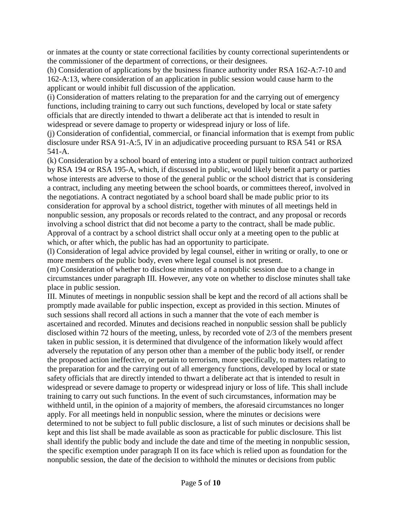or inmates at the county or state correctional facilities by county correctional superintendents or the commissioner of the department of corrections, or their designees.

(h) Consideration of applications by the business finance authority under RSA 162-A:7-10 and 162-A:13, where consideration of an application in public session would cause harm to the applicant or would inhibit full discussion of the application.

(i) Consideration of matters relating to the preparation for and the carrying out of emergency functions, including training to carry out such functions, developed by local or state safety officials that are directly intended to thwart a deliberate act that is intended to result in widespread or severe damage to property or widespread injury or loss of life.

(j) Consideration of confidential, commercial, or financial information that is exempt from public disclosure under RSA 91-A:5, IV in an adjudicative proceeding pursuant to RSA 541 or RSA 541-A.

(k) Consideration by a school board of entering into a student or pupil tuition contract authorized by RSA 194 or RSA 195-A, which, if discussed in public, would likely benefit a party or parties whose interests are adverse to those of the general public or the school district that is considering a contract, including any meeting between the school boards, or committees thereof, involved in the negotiations. A contract negotiated by a school board shall be made public prior to its consideration for approval by a school district, together with minutes of all meetings held in nonpublic session, any proposals or records related to the contract, and any proposal or records involving a school district that did not become a party to the contract, shall be made public. Approval of a contract by a school district shall occur only at a meeting open to the public at which, or after which, the public has had an opportunity to participate.

(l) Consideration of legal advice provided by legal counsel, either in writing or orally, to one or more members of the public body, even where legal counsel is not present.

(m) Consideration of whether to disclose minutes of a nonpublic session due to a change in circumstances under paragraph III. However, any vote on whether to disclose minutes shall take place in public session.

III. Minutes of meetings in nonpublic session shall be kept and the record of all actions shall be promptly made available for public inspection, except as provided in this section. Minutes of such sessions shall record all actions in such a manner that the vote of each member is ascertained and recorded. Minutes and decisions reached in nonpublic session shall be publicly disclosed within 72 hours of the meeting, unless, by recorded vote of 2/3 of the members present taken in public session, it is determined that divulgence of the information likely would affect adversely the reputation of any person other than a member of the public body itself, or render the proposed action ineffective, or pertain to terrorism, more specifically, to matters relating to the preparation for and the carrying out of all emergency functions, developed by local or state safety officials that are directly intended to thwart a deliberate act that is intended to result in widespread or severe damage to property or widespread injury or loss of life. This shall include training to carry out such functions. In the event of such circumstances, information may be withheld until, in the opinion of a majority of members, the aforesaid circumstances no longer apply. For all meetings held in nonpublic session, where the minutes or decisions were determined to not be subject to full public disclosure, a list of such minutes or decisions shall be kept and this list shall be made available as soon as practicable for public disclosure. This list shall identify the public body and include the date and time of the meeting in nonpublic session, the specific exemption under paragraph II on its face which is relied upon as foundation for the nonpublic session, the date of the decision to withhold the minutes or decisions from public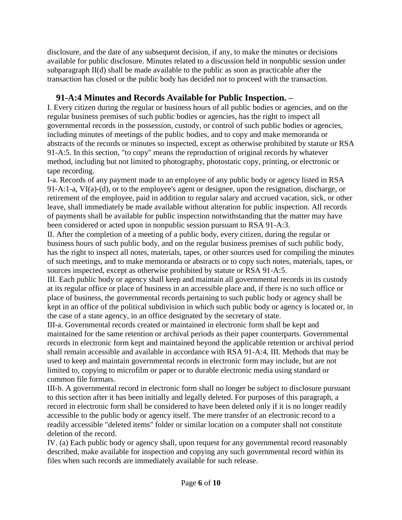disclosure, and the date of any subsequent decision, if any, to make the minutes or decisions available for public disclosure. Minutes related to a discussion held in nonpublic session under subparagraph II(d) shall be made available to the public as soon as practicable after the transaction has closed or the public body has decided not to proceed with the transaction.

## **91-A:4 Minutes and Records Available for Public Inspection. –**

I. Every citizen during the regular or business hours of all public bodies or agencies, and on the regular business premises of such public bodies or agencies, has the right to inspect all governmental records in the possession, custody, or control of such public bodies or agencies, including minutes of meetings of the public bodies, and to copy and make memoranda or abstracts of the records or minutes so inspected, except as otherwise prohibited by statute or RSA 91-A:5. In this section, "to copy" means the reproduction of original records by whatever method, including but not limited to photography, photostatic copy, printing, or electronic or tape recording.

I-a. Records of any payment made to an employee of any public body or agency listed in RSA 91-A:1-a, VI(a)-(d), or to the employee's agent or designee, upon the resignation, discharge, or retirement of the employee, paid in addition to regular salary and accrued vacation, sick, or other leave, shall immediately be made available without alteration for public inspection. All records of payments shall be available for public inspection notwithstanding that the matter may have been considered or acted upon in nonpublic session pursuant to RSA 91-A:3.

II. After the completion of a meeting of a public body, every citizen, during the regular or business hours of such public body, and on the regular business premises of such public body, has the right to inspect all notes, materials, tapes, or other sources used for compiling the minutes of such meetings, and to make memoranda or abstracts or to copy such notes, materials, tapes, or sources inspected, except as otherwise prohibited by statute or RSA 91-A:5.

III. Each public body or agency shall keep and maintain all governmental records in its custody at its regular office or place of business in an accessible place and, if there is no such office or place of business, the governmental records pertaining to such public body or agency shall be kept in an office of the political subdivision in which such public body or agency is located or, in the case of a state agency, in an office designated by the secretary of state.

III-a. Governmental records created or maintained in electronic form shall be kept and maintained for the same retention or archival periods as their paper counterparts. Governmental records in electronic form kept and maintained beyond the applicable retention or archival period shall remain accessible and available in accordance with RSA 91-A:4, III. Methods that may be used to keep and maintain governmental records in electronic form may include, but are not limited to, copying to microfilm or paper or to durable electronic media using standard or common file formats.

III-b. A governmental record in electronic form shall no longer be subject to disclosure pursuant to this section after it has been initially and legally deleted. For purposes of this paragraph, a record in electronic form shall be considered to have been deleted only if it is no longer readily accessible to the public body or agency itself. The mere transfer of an electronic record to a readily accessible "deleted items" folder or similar location on a computer shall not constitute deletion of the record.

IV. (a) Each public body or agency shall, upon request for any governmental record reasonably described, make available for inspection and copying any such governmental record within its files when such records are immediately available for such release.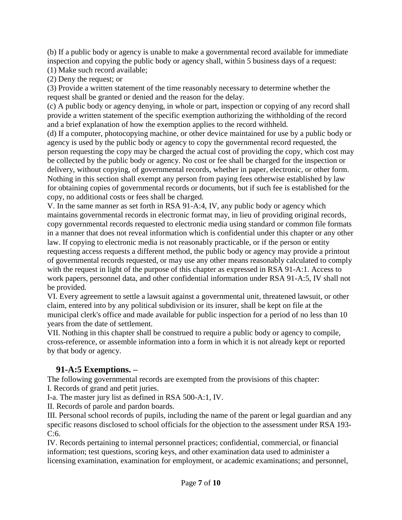(b) If a public body or agency is unable to make a governmental record available for immediate inspection and copying the public body or agency shall, within 5 business days of a request: (1) Make such record available;

(2) Deny the request; or

(3) Provide a written statement of the time reasonably necessary to determine whether the request shall be granted or denied and the reason for the delay.

(c) A public body or agency denying, in whole or part, inspection or copying of any record shall provide a written statement of the specific exemption authorizing the withholding of the record and a brief explanation of how the exemption applies to the record withheld.

(d) If a computer, photocopying machine, or other device maintained for use by a public body or agency is used by the public body or agency to copy the governmental record requested, the person requesting the copy may be charged the actual cost of providing the copy, which cost may be collected by the public body or agency. No cost or fee shall be charged for the inspection or delivery, without copying, of governmental records, whether in paper, electronic, or other form. Nothing in this section shall exempt any person from paying fees otherwise established by law for obtaining copies of governmental records or documents, but if such fee is established for the copy, no additional costs or fees shall be charged.

V. In the same manner as set forth in RSA 91-A:4, IV, any public body or agency which maintains governmental records in electronic format may, in lieu of providing original records, copy governmental records requested to electronic media using standard or common file formats in a manner that does not reveal information which is confidential under this chapter or any other law. If copying to electronic media is not reasonably practicable, or if the person or entity requesting access requests a different method, the public body or agency may provide a printout of governmental records requested, or may use any other means reasonably calculated to comply with the request in light of the purpose of this chapter as expressed in RSA 91-A:1. Access to work papers, personnel data, and other confidential information under RSA 91-A:5, IV shall not be provided.

VI. Every agreement to settle a lawsuit against a governmental unit, threatened lawsuit, or other claim, entered into by any political subdivision or its insurer, shall be kept on file at the municipal clerk's office and made available for public inspection for a period of no less than 10 years from the date of settlement.

VII. Nothing in this chapter shall be construed to require a public body or agency to compile, cross-reference, or assemble information into a form in which it is not already kept or reported by that body or agency.

# **91-A:5 Exemptions. –**

The following governmental records are exempted from the provisions of this chapter: I. Records of grand and petit juries.

I-a. The master jury list as defined in RSA 500-A:1, IV.

II. Records of parole and pardon boards.

III. Personal school records of pupils, including the name of the parent or legal guardian and any specific reasons disclosed to school officials for the objection to the assessment under RSA 193- C:6.

IV. Records pertaining to internal personnel practices; confidential, commercial, or financial information; test questions, scoring keys, and other examination data used to administer a licensing examination, examination for employment, or academic examinations; and personnel,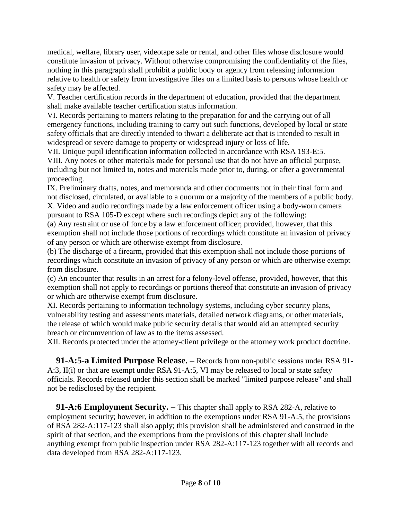medical, welfare, library user, videotape sale or rental, and other files whose disclosure would constitute invasion of privacy. Without otherwise compromising the confidentiality of the files, nothing in this paragraph shall prohibit a public body or agency from releasing information relative to health or safety from investigative files on a limited basis to persons whose health or safety may be affected.

V. Teacher certification records in the department of education, provided that the department shall make available teacher certification status information.

VI. Records pertaining to matters relating to the preparation for and the carrying out of all emergency functions, including training to carry out such functions, developed by local or state safety officials that are directly intended to thwart a deliberate act that is intended to result in widespread or severe damage to property or widespread injury or loss of life.

VII. Unique pupil identification information collected in accordance with RSA 193-E:5. VIII. Any notes or other materials made for personal use that do not have an official purpose, including but not limited to, notes and materials made prior to, during, or after a governmental proceeding.

IX. Preliminary drafts, notes, and memoranda and other documents not in their final form and not disclosed, circulated, or available to a quorum or a majority of the members of a public body. X. Video and audio recordings made by a law enforcement officer using a body-worn camera pursuant to RSA 105-D except where such recordings depict any of the following:

(a) Any restraint or use of force by a law enforcement officer; provided, however, that this exemption shall not include those portions of recordings which constitute an invasion of privacy of any person or which are otherwise exempt from disclosure.

(b) The discharge of a firearm, provided that this exemption shall not include those portions of recordings which constitute an invasion of privacy of any person or which are otherwise exempt from disclosure.

(c) An encounter that results in an arrest for a felony-level offense, provided, however, that this exemption shall not apply to recordings or portions thereof that constitute an invasion of privacy or which are otherwise exempt from disclosure.

XI. Records pertaining to information technology systems, including cyber security plans, vulnerability testing and assessments materials, detailed network diagrams, or other materials, the release of which would make public security details that would aid an attempted security breach or circumvention of law as to the items assessed.

XII. Records protected under the attorney-client privilege or the attorney work product doctrine.

 **91-A:5-a Limited Purpose Release. –** Records from non-public sessions under RSA 91- A:3, II(i) or that are exempt under RSA 91-A:5, VI may be released to local or state safety officials. Records released under this section shall be marked "limited purpose release" and shall not be redisclosed by the recipient.

 **91-A:6 Employment Security. –** This chapter shall apply to RSA 282-A, relative to employment security; however, in addition to the exemptions under RSA 91-A:5, the provisions of RSA 282-A:117-123 shall also apply; this provision shall be administered and construed in the spirit of that section, and the exemptions from the provisions of this chapter shall include anything exempt from public inspection under RSA 282-A:117-123 together with all records and data developed from RSA 282-A:117-123.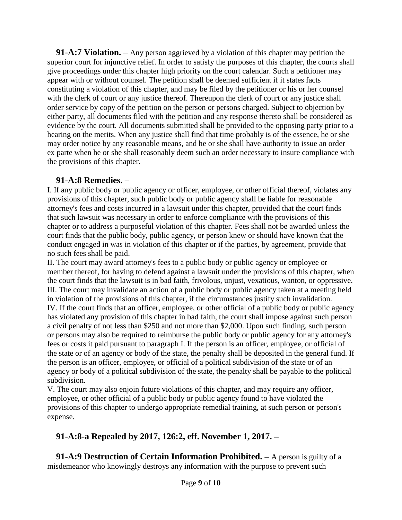**91-A:7 Violation. –** Any person aggrieved by a violation of this chapter may petition the superior court for injunctive relief. In order to satisfy the purposes of this chapter, the courts shall give proceedings under this chapter high priority on the court calendar. Such a petitioner may appear with or without counsel. The petition shall be deemed sufficient if it states facts constituting a violation of this chapter, and may be filed by the petitioner or his or her counsel with the clerk of court or any justice thereof. Thereupon the clerk of court or any justice shall order service by copy of the petition on the person or persons charged. Subject to objection by either party, all documents filed with the petition and any response thereto shall be considered as evidence by the court. All documents submitted shall be provided to the opposing party prior to a hearing on the merits. When any justice shall find that time probably is of the essence, he or she may order notice by any reasonable means, and he or she shall have authority to issue an order ex parte when he or she shall reasonably deem such an order necessary to insure compliance with the provisions of this chapter.

#### **91-A:8 Remedies. –**

I. If any public body or public agency or officer, employee, or other official thereof, violates any provisions of this chapter, such public body or public agency shall be liable for reasonable attorney's fees and costs incurred in a lawsuit under this chapter, provided that the court finds that such lawsuit was necessary in order to enforce compliance with the provisions of this chapter or to address a purposeful violation of this chapter. Fees shall not be awarded unless the court finds that the public body, public agency, or person knew or should have known that the conduct engaged in was in violation of this chapter or if the parties, by agreement, provide that no such fees shall be paid.

II. The court may award attorney's fees to a public body or public agency or employee or member thereof, for having to defend against a lawsuit under the provisions of this chapter, when the court finds that the lawsuit is in bad faith, frivolous, unjust, vexatious, wanton, or oppressive. III. The court may invalidate an action of a public body or public agency taken at a meeting held in violation of the provisions of this chapter, if the circumstances justify such invalidation. IV. If the court finds that an officer, employee, or other official of a public body or public agency has violated any provision of this chapter in bad faith, the court shall impose against such person a civil penalty of not less than \$250 and not more than \$2,000. Upon such finding, such person or persons may also be required to reimburse the public body or public agency for any attorney's fees or costs it paid pursuant to paragraph I. If the person is an officer, employee, or official of the state or of an agency or body of the state, the penalty shall be deposited in the general fund. If the person is an officer, employee, or official of a political subdivision of the state or of an agency or body of a political subdivision of the state, the penalty shall be payable to the political subdivision.

V. The court may also enjoin future violations of this chapter, and may require any officer, employee, or other official of a public body or public agency found to have violated the provisions of this chapter to undergo appropriate remedial training, at such person or person's expense.

## **91-A:8-a Repealed by 2017, 126:2, eff. November 1, 2017. –**

 **91-A:9 Destruction of Certain Information Prohibited. –** A person is guilty of a misdemeanor who knowingly destroys any information with the purpose to prevent such